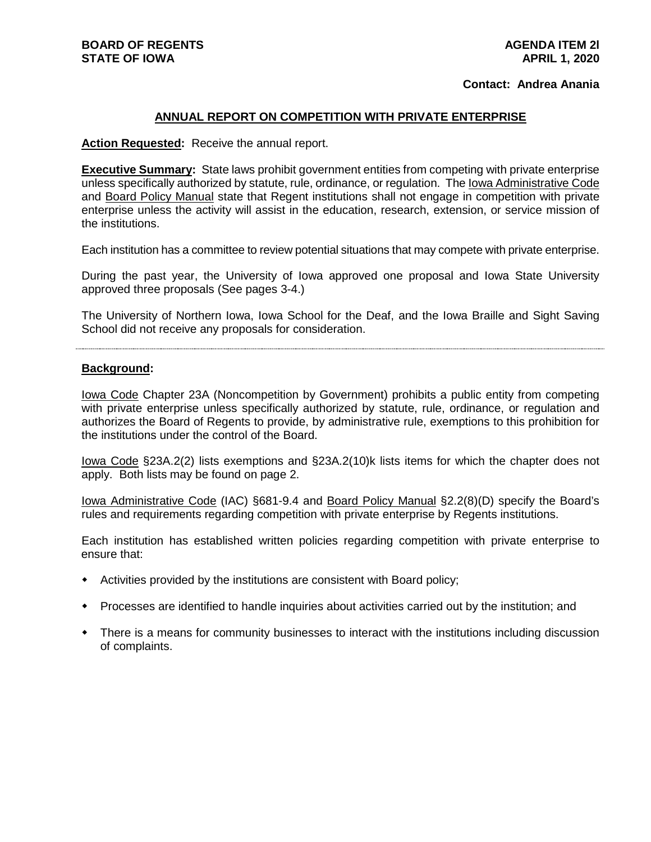## **Contact: Andrea Anania**

## **ANNUAL REPORT ON COMPETITION WITH PRIVATE ENTERPRISE**

**Action Requested:** Receive the annual report.

**Executive Summary:** State laws prohibit government entities from competing with private enterprise unless specifically authorized by statute, rule, ordinance, or regulation. The Iowa Administrative Code and Board Policy Manual state that Regent institutions shall not engage in competition with private enterprise unless the activity will assist in the education, research, extension, or service mission of the institutions.

Each institution has a committee to review potential situations that may compete with private enterprise.

During the past year, the University of Iowa approved one proposal and Iowa State University approved three proposals (See pages 3-4.)

The University of Northern Iowa, Iowa School for the Deaf, and the Iowa Braille and Sight Saving School did not receive any proposals for consideration.

#### **Background:**

Iowa Code Chapter 23A (Noncompetition by Government) prohibits a public entity from competing with private enterprise unless specifically authorized by statute, rule, ordinance, or regulation and authorizes the Board of Regents to provide, by administrative rule, exemptions to this prohibition for the institutions under the control of the Board.

Iowa Code §23A.2(2) lists exemptions and §23A.2(10)k lists items for which the chapter does not apply. Both lists may be found on page 2.

Iowa Administrative Code (IAC) §681-9.4 and Board Policy Manual §2.2(8)(D) specify the Board's rules and requirements regarding competition with private enterprise by Regents institutions.

Each institution has established written policies regarding competition with private enterprise to ensure that:

- Activities provided by the institutions are consistent with Board policy;
- Processes are identified to handle inquiries about activities carried out by the institution; and
- There is a means for community businesses to interact with the institutions including discussion of complaints.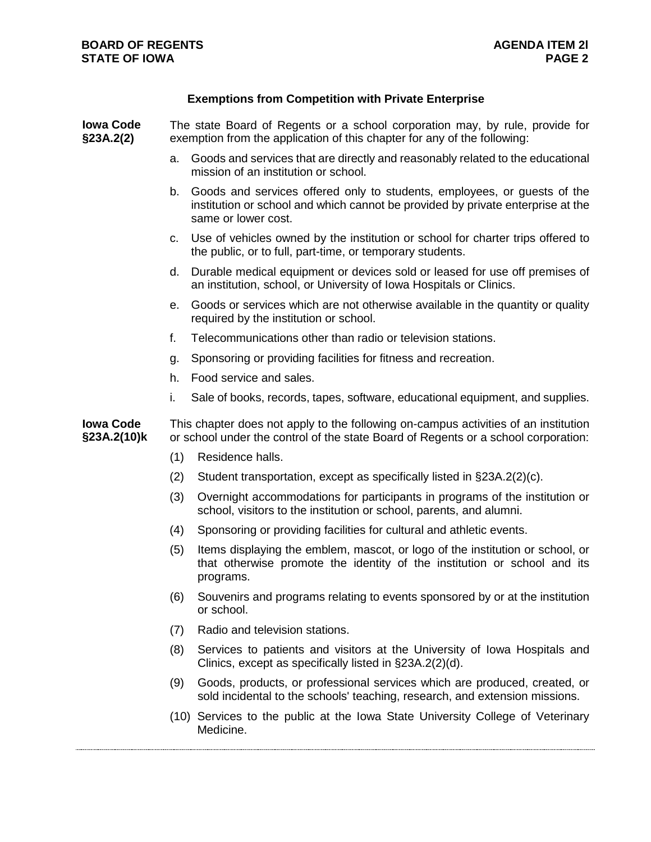# **Exemptions from Competition with Private Enterprise**

| <b>Iowa Code</b><br>§23A.2(2)   | The state Board of Regents or a school corporation may, by rule, provide for<br>exemption from the application of this chapter for any of the following:                  |                                                                                                                                                                                    |
|---------------------------------|---------------------------------------------------------------------------------------------------------------------------------------------------------------------------|------------------------------------------------------------------------------------------------------------------------------------------------------------------------------------|
|                                 | a.                                                                                                                                                                        | Goods and services that are directly and reasonably related to the educational<br>mission of an institution or school.                                                             |
|                                 | b.                                                                                                                                                                        | Goods and services offered only to students, employees, or guests of the<br>institution or school and which cannot be provided by private enterprise at the<br>same or lower cost. |
|                                 | C.                                                                                                                                                                        | Use of vehicles owned by the institution or school for charter trips offered to<br>the public, or to full, part-time, or temporary students.                                       |
|                                 | d.                                                                                                                                                                        | Durable medical equipment or devices sold or leased for use off premises of<br>an institution, school, or University of Iowa Hospitals or Clinics.                                 |
|                                 | е.                                                                                                                                                                        | Goods or services which are not otherwise available in the quantity or quality<br>required by the institution or school.                                                           |
|                                 | f.                                                                                                                                                                        | Telecommunications other than radio or television stations.                                                                                                                        |
|                                 | g.                                                                                                                                                                        | Sponsoring or providing facilities for fitness and recreation.                                                                                                                     |
|                                 | h.                                                                                                                                                                        | Food service and sales.                                                                                                                                                            |
|                                 | i.                                                                                                                                                                        | Sale of books, records, tapes, software, educational equipment, and supplies.                                                                                                      |
| <b>Iowa Code</b><br>§23A.2(10)k | This chapter does not apply to the following on-campus activities of an institution<br>or school under the control of the state Board of Regents or a school corporation: |                                                                                                                                                                                    |
|                                 | (1)                                                                                                                                                                       | Residence halls.                                                                                                                                                                   |
|                                 | (2)                                                                                                                                                                       | Student transportation, except as specifically listed in §23A.2(2)(c).                                                                                                             |
|                                 | (3)                                                                                                                                                                       | Overnight accommodations for participants in programs of the institution or<br>school, visitors to the institution or school, parents, and alumni.                                 |
|                                 | (4)                                                                                                                                                                       | Sponsoring or providing facilities for cultural and athletic events.                                                                                                               |
|                                 | (5)                                                                                                                                                                       | Items displaying the emblem, mascot, or logo of the institution or school, or<br>that otherwise promote the identity of the institution or school and its<br>programs.             |
|                                 |                                                                                                                                                                           | (6) Souvenirs and programs relating to events sponsored by or at the institution<br>or school.                                                                                     |
|                                 | (7)                                                                                                                                                                       | Radio and television stations.                                                                                                                                                     |
|                                 | (8)                                                                                                                                                                       | Services to patients and visitors at the University of Iowa Hospitals and<br>Clinics, except as specifically listed in §23A.2(2)(d).                                               |
|                                 | (9)                                                                                                                                                                       | Goods, products, or professional services which are produced, created, or<br>sold incidental to the schools' teaching, research, and extension missions.                           |
|                                 |                                                                                                                                                                           | (10) Services to the public at the Iowa State University College of Veterinary<br>Medicine.                                                                                        |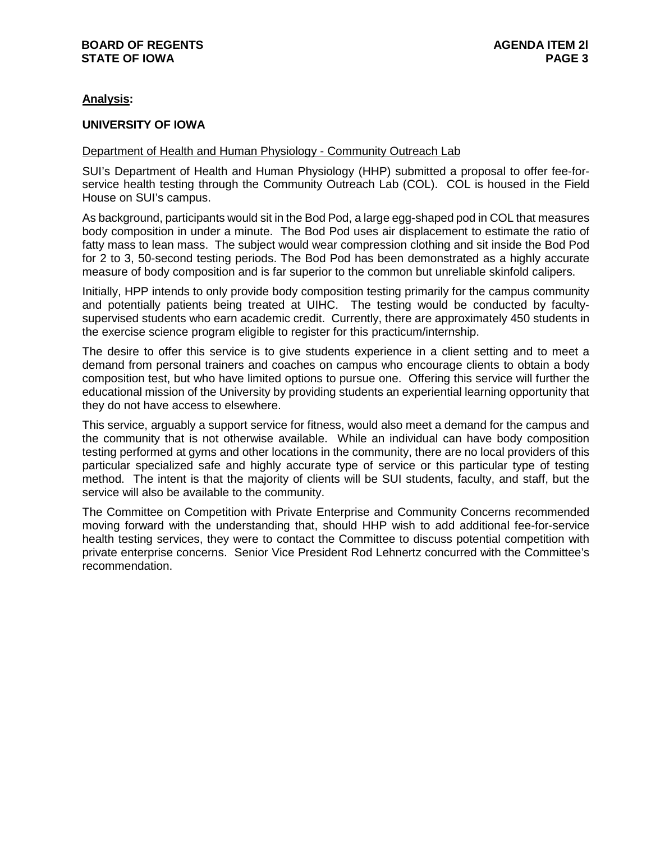# **Analysis:**

## **UNIVERSITY OF IOWA**

## Department of Health and Human Physiology - Community Outreach Lab

SUI's Department of Health and Human Physiology (HHP) submitted a proposal to offer fee-forservice health testing through the Community Outreach Lab (COL). COL is housed in the Field House on SUI's campus.

As background, participants would sit in the Bod Pod, a large egg-shaped pod in COL that measures body composition in under a minute. The Bod Pod uses air displacement to estimate the ratio of fatty mass to lean mass. The subject would wear compression clothing and sit inside the Bod Pod for 2 to 3, 50-second testing periods. The Bod Pod has been demonstrated as a highly accurate measure of body composition and is far superior to the common but unreliable skinfold calipers.

Initially, HPP intends to only provide body composition testing primarily for the campus community and potentially patients being treated at UIHC. The testing would be conducted by facultysupervised students who earn academic credit. Currently, there are approximately 450 students in the exercise science program eligible to register for this practicum/internship.

The desire to offer this service is to give students experience in a client setting and to meet a demand from personal trainers and coaches on campus who encourage clients to obtain a body composition test, but who have limited options to pursue one. Offering this service will further the educational mission of the University by providing students an experiential learning opportunity that they do not have access to elsewhere.

This service, arguably a support service for fitness, would also meet a demand for the campus and the community that is not otherwise available. While an individual can have body composition testing performed at gyms and other locations in the community, there are no local providers of this particular specialized safe and highly accurate type of service or this particular type of testing method. The intent is that the majority of clients will be SUI students, faculty, and staff, but the service will also be available to the community.

The Committee on Competition with Private Enterprise and Community Concerns recommended moving forward with the understanding that, should HHP wish to add additional fee-for-service health testing services, they were to contact the Committee to discuss potential competition with private enterprise concerns. Senior Vice President Rod Lehnertz concurred with the Committee's recommendation.